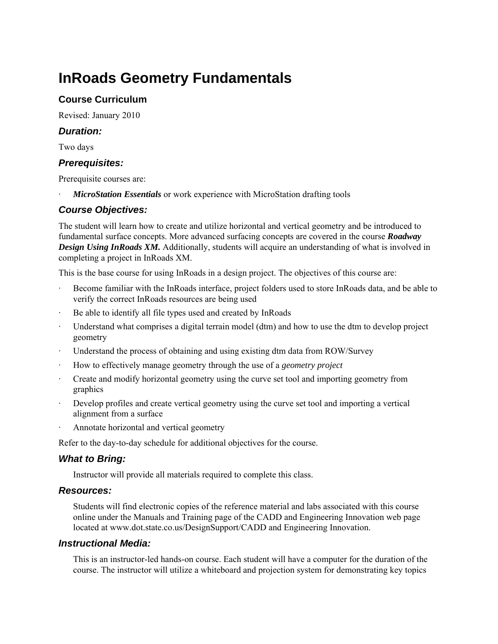# **InRoads Geometry Fundamentals**

# **Course Curriculum**

Revised: January 2010

## *Duration:*

Two days

## *Prerequisites:*

Prerequisite courses are:

*MicroStation Essentials* or work experience with MicroStation drafting tools

# *Course Objectives:*

The student will learn how to create and utilize horizontal and vertical geometry and be introduced to fundamental surface concepts. More advanced surfacing concepts are covered in the course *Roadway Design Using InRoads XM.* Additionally, students will acquire an understanding of what is involved in completing a project in InRoads XM.

This is the base course for using InRoads in a design project. The objectives of this course are:

- Become familiar with the InRoads interface, project folders used to store InRoads data, and be able to verify the correct InRoads resources are being used
- Be able to identify all file types used and created by InRoads
- Understand what comprises a digital terrain model (dtm) and how to use the dtm to develop project geometry
- Understand the process of obtaining and using existing dtm data from ROW/Survey
- · How to effectively manage geometry through the use of a *geometry project*
- · Create and modify horizontal geometry using the curve set tool and importing geometry from graphics
- Develop profiles and create vertical geometry using the curve set tool and importing a vertical alignment from a surface
- Annotate horizontal and vertical geometry

Refer to the day-to-day schedule for additional objectives for the course.

#### *What to Bring:*

Instructor will provide all materials required to complete this class.

#### *Resources:*

Students will find electronic copies of the reference material and labs associated with this course online under the Manuals and Training page of the CADD and Engineering Innovation web page located at www.dot.state.co.us/DesignSupport/CADD and Engineering Innovation.

#### *Instructional Media:*

This is an instructor-led hands-on course. Each student will have a computer for the duration of the course. The instructor will utilize a whiteboard and projection system for demonstrating key topics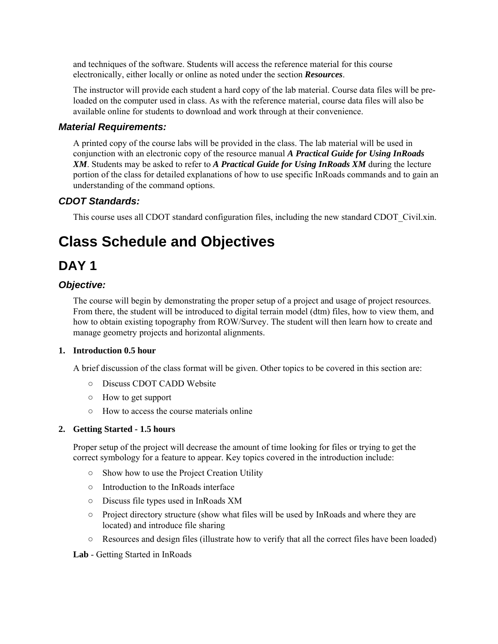and techniques of the software. Students will access the reference material for this course electronically, either locally or online as noted under the section *Resources*.

The instructor will provide each student a hard copy of the lab material. Course data files will be preloaded on the computer used in class. As with the reference material, course data files will also be available online for students to download and work through at their convenience.

### *Material Requirements:*

A printed copy of the course labs will be provided in the class. The lab material will be used in conjunction with an electronic copy of the resource manual *A Practical Guide for Using InRoads XM*. Students may be asked to refer to *A Practical Guide for Using InRoads XM* during the lecture portion of the class for detailed explanations of how to use specific InRoads commands and to gain an understanding of the command options.

# *CDOT Standards:*

This course uses all CDOT standard configuration files, including the new standard CDOT\_Civil.xin.

# **Class Schedule and Objectives**

# **DAY 1**

### *Objective:*

The course will begin by demonstrating the proper setup of a project and usage of project resources. From there, the student will be introduced to digital terrain model (dtm) files, how to view them, and how to obtain existing topography from ROW/Survey. The student will then learn how to create and manage geometry projects and horizontal alignments.

#### **1. Introduction 0.5 hour**

A brief discussion of the class format will be given. Other topics to be covered in this section are:

- Discuss CDOT CADD Website
- How to get support
- How to access the course materials online

#### **2. Getting Started - 1.5 hours**

Proper setup of the project will decrease the amount of time looking for files or trying to get the correct symbology for a feature to appear. Key topics covered in the introduction include:

- Show how to use the Project Creation Utility
- Introduction to the InRoads interface
- Discuss file types used in InRoads XM
- Project directory structure (show what files will be used by InRoads and where they are located) and introduce file sharing
- Resources and design files (illustrate how to verify that all the correct files have been loaded)

**Lab** - Getting Started in InRoads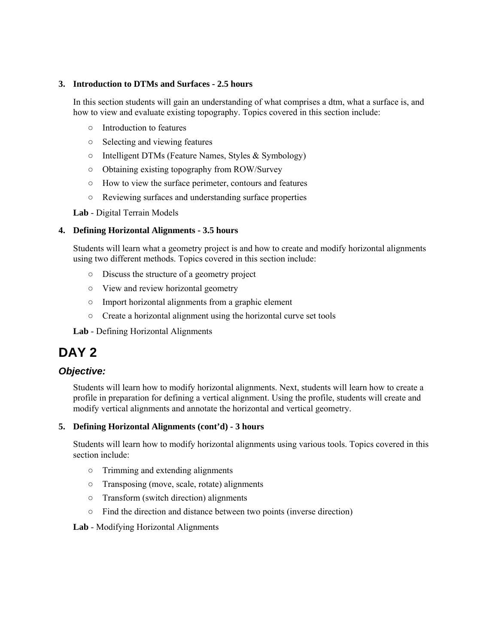#### **3. Introduction to DTMs and Surfaces - 2.5 hours**

In this section students will gain an understanding of what comprises a dtm, what a surface is, and how to view and evaluate existing topography. Topics covered in this section include:

- Introduction to features
- Selecting and viewing features
- Intelligent DTMs (Feature Names, Styles & Symbology)
- Obtaining existing topography from ROW/Survey
- How to view the surface perimeter, contours and features
- Reviewing surfaces and understanding surface properties

**Lab** - Digital Terrain Models

#### **4. Defining Horizontal Alignments - 3.5 hours**

Students will learn what a geometry project is and how to create and modify horizontal alignments using two different methods. Topics covered in this section include:

- Discuss the structure of a geometry project
- View and review horizontal geometry
- Import horizontal alignments from a graphic element
- Create a horizontal alignment using the horizontal curve set tools

**Lab** - Defining Horizontal Alignments

# **DAY 2**

# *Objective:*

Students will learn how to modify horizontal alignments. Next, students will learn how to create a profile in preparation for defining a vertical alignment. Using the profile, students will create and modify vertical alignments and annotate the horizontal and vertical geometry.

#### **5. Defining Horizontal Alignments (cont'd) - 3 hours**

Students will learn how to modify horizontal alignments using various tools. Topics covered in this section include:

- Trimming and extending alignments
- Transposing (move, scale, rotate) alignments
- Transform (switch direction) alignments
- Find the direction and distance between two points (inverse direction)

#### **Lab** - Modifying Horizontal Alignments